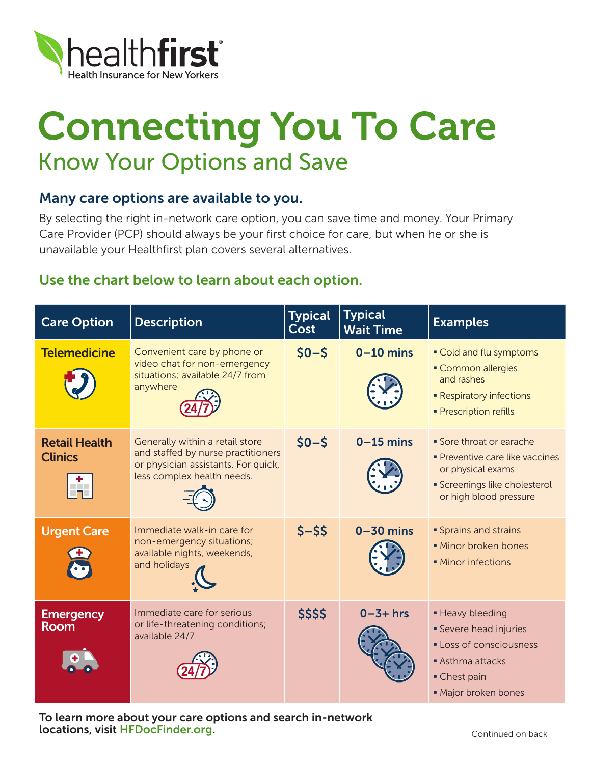

## Connecting You To Care Know Your Options and Save

## Many care options are available to you.

By selecting the right in-network care option, you can save time and money. Your Primary Care Provider (PCP) should always be your first choice for care, but when he or she is unavailable your Healthfirst plan covers several alternatives.

## Use the chart below to learn about each option.

| <b>Care Option</b>                          | <b>Description</b>                                                                                                                         | <b>Typical</b><br>Cost | <b>Typical</b><br><b>Wait Time</b> | <b>Examples</b>                                                                                                                             |
|---------------------------------------------|--------------------------------------------------------------------------------------------------------------------------------------------|------------------------|------------------------------------|---------------------------------------------------------------------------------------------------------------------------------------------|
| <b>Telemedicine</b>                         | Convenient care by phone or<br>video chat for non-emergency<br>situations; available 24/7 from<br>anywhere                                 | $$0 - $$               | $0-10$ mins                        | • Cold and flu symptoms<br>• Common allergies<br>and rashes<br><b>- Respiratory infections</b><br>· Prescription refills                    |
| <b>Retail Health</b><br><b>Clinics</b><br>÷ | Generally within a retail store<br>and staffed by nurse practitioners<br>or physician assistants. For quick,<br>less complex health needs. | $$0 - $$               | $0-15$ mins                        | • Sore throat or earache<br>• Preventive care like vaccines<br>or physical exams<br>· Screenings like cholesterol<br>or high blood pressure |
| <b>Urgent Care</b>                          | Immediate walk-in care for<br>non-emergency situations;<br>available nights, weekends,<br>and holidays                                     | $5 - 55$               | $0 - 30$ mins                      | <b>Sprains and strains</b><br>· Minor broken bones<br><b>Minor infections</b>                                                               |
| <b>Emergency</b><br><b>Room</b>             | Immediate care for serious<br>or life-threatening conditions;<br>available 24/7                                                            | \$\$\$\$               | $0 - 3 + hrs$                      | • Heavy bleeding<br>• Severe head injuries<br>Loss of consciousness<br>Asthma attacks<br>• Chest pain<br>· Major broken bones               |

To learn more about your care options and search in-network locations, visit HFDocFinder.org.